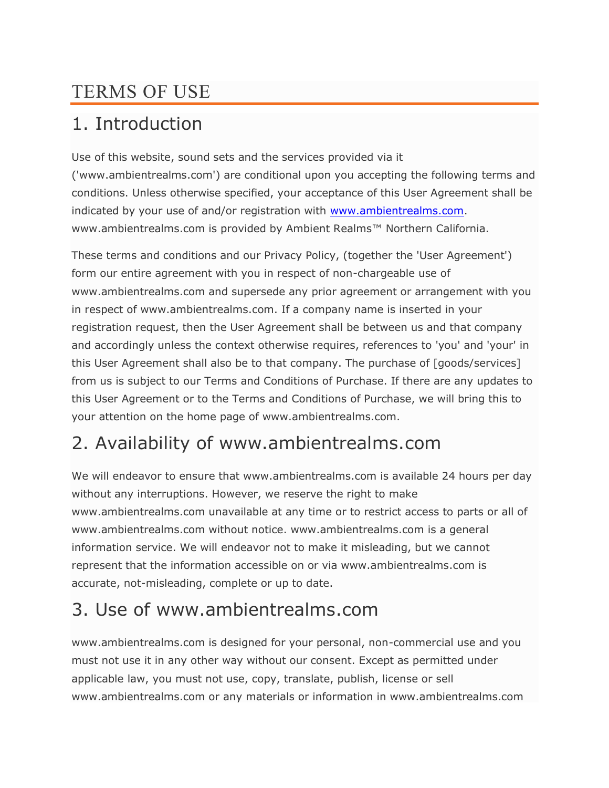### TERMS OF USE

### 1. Introduction

Use of this website, sound sets and the services provided via it ('www.ambientrealms.com') are conditional upon you accepting the following terms and conditions. Unless otherwise specified, your acceptance of this User Agreement shall be indicated by your use of and/or registration with [www.ambientrealms.com.](http://www.ambientrealms.com/) www.ambientrealms.com is provided by Ambient Realms™ Northern California.

These terms and conditions and our Privacy Policy, (together the 'User Agreement') form our entire agreement with you in respect of non-chargeable use of www.ambientrealms.com and supersede any prior agreement or arrangement with you in respect of www.ambientrealms.com. If a company name is inserted in your registration request, then the User Agreement shall be between us and that company and accordingly unless the context otherwise requires, references to 'you' and 'your' in this User Agreement shall also be to that company. The purchase of [goods/services] from us is subject to our Terms and Conditions of Purchase. If there are any updates to this User Agreement or to the Terms and Conditions of Purchase, we will bring this to your attention on the home page of www.ambientrealms.com.

# 2. Availability of www.ambientrealms.com

We will endeavor to ensure that www.ambientrealms.com is available 24 hours per day without any interruptions. However, we reserve the right to make www.ambientrealms.com unavailable at any time or to restrict access to parts or all of www.ambientrealms.com without notice. www.ambientrealms.com is a general information service. We will endeavor not to make it misleading, but we cannot represent that the information accessible on or via www.ambientrealms.com is accurate, not-misleading, complete or up to date.

### 3. Use of www.ambientrealms.com

www.ambientrealms.com is designed for your personal, non-commercial use and you must not use it in any other way without our consent. Except as permitted under applicable law, you must not use, copy, translate, publish, license or sell www.ambientrealms.com or any materials or information in www.ambientrealms.com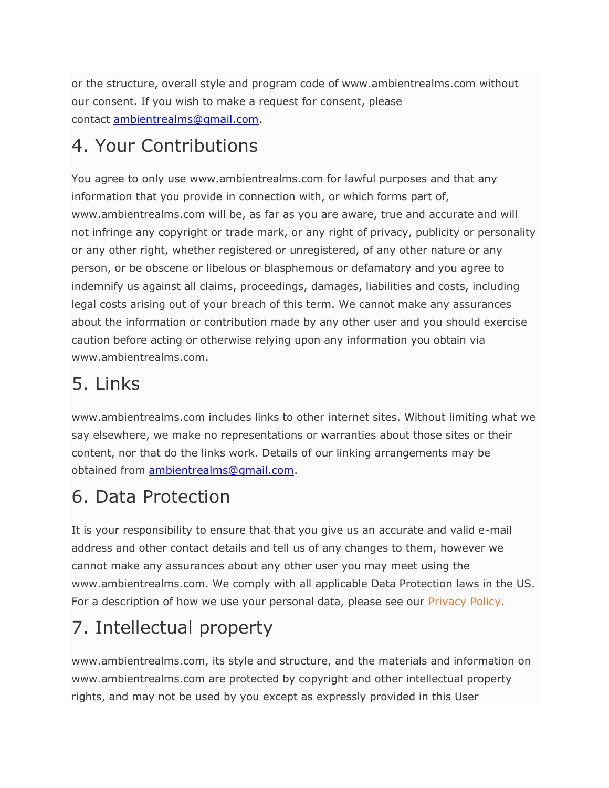or the structure, overall style and program code of www.ambientrealms.com without our consent. If you wish to make a request for consent, please contact [ambientrealms@gmail.com.](mailto:ambientrealms@gmail.com)

#### 4. Your Contributions

You agree to only use www.ambientrealms.com for lawful purposes and that any information that you provide in connection with, or which forms part of, www.ambientrealms.com will be, as far as you are aware, true and accurate and will not infringe any copyright or trade mark, or any right of privacy, publicity or personality or any other right, whether registered or unregistered, of any other nature or any person, or be obscene or libelous or blasphemous or defamatory and you agree to indemnify us against all claims, proceedings, damages, liabilities and costs, including legal costs arising out of your breach of this term. We cannot make any assurances about the information or contribution made by any other user and you should exercise caution before acting or otherwise relying upon any information you obtain via www.ambientrealms.com.

### 5. Links

www.ambientrealms.com includes links to other internet sites. Without limiting what we say elsewhere, we make no representations or warranties about those sites or their content, nor that do the links work. Details of our linking arrangements may be obtained from [ambientrealms@gmail.com.](mailto:ambientrealms@gmail.com)

# 6. Data Protection

It is your responsibility to ensure that that you give us an accurate and valid e-mail address and other contact details and tell us of any changes to them, however we cannot make any assurances about any other user you may meet using the www.ambientrealms.com. We comply with all applicable Data Protection laws in the US. For a description of how we use your personal data, please see our [Privacy Policy.](http://www.audiomediainternational.com/privacy-policy)

# 7. Intellectual property

www.ambientrealms.com, its style and structure, and the materials and information on www.ambientrealms.com are protected by copyright and other intellectual property rights, and may not be used by you except as expressly provided in this User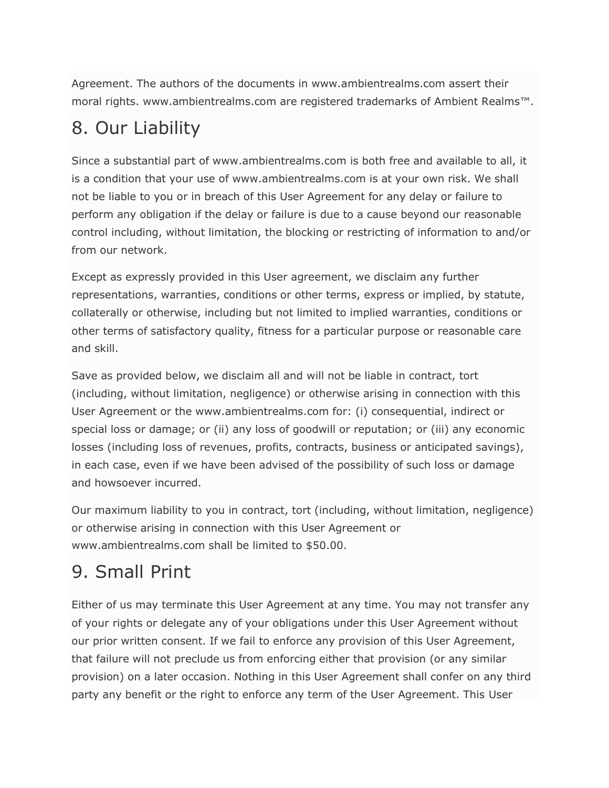Agreement. The authors of the documents in www.ambientrealms.com assert their moral rights. www.ambientrealms.com are registered trademarks of Ambient Realms™.

### 8. Our Liability

Since a substantial part of www.ambientrealms.com is both free and available to all, it is a condition that your use of www.ambientrealms.com is at your own risk. We shall not be liable to you or in breach of this User Agreement for any delay or failure to perform any obligation if the delay or failure is due to a cause beyond our reasonable control including, without limitation, the blocking or restricting of information to and/or from our network.

Except as expressly provided in this User agreement, we disclaim any further representations, warranties, conditions or other terms, express or implied, by statute, collaterally or otherwise, including but not limited to implied warranties, conditions or other terms of satisfactory quality, fitness for a particular purpose or reasonable care and skill.

Save as provided below, we disclaim all and will not be liable in contract, tort (including, without limitation, negligence) or otherwise arising in connection with this User Agreement or the www.ambientrealms.com for: (i) consequential, indirect or special loss or damage; or (ii) any loss of goodwill or reputation; or (iii) any economic losses (including loss of revenues, profits, contracts, business or anticipated savings), in each case, even if we have been advised of the possibility of such loss or damage and howsoever incurred.

Our maximum liability to you in contract, tort (including, without limitation, negligence) or otherwise arising in connection with this User Agreement or www.ambientrealms.com shall be limited to \$50.00.

# 9. Small Print

Either of us may terminate this User Agreement at any time. You may not transfer any of your rights or delegate any of your obligations under this User Agreement without our prior written consent. If we fail to enforce any provision of this User Agreement, that failure will not preclude us from enforcing either that provision (or any similar provision) on a later occasion. Nothing in this User Agreement shall confer on any third party any benefit or the right to enforce any term of the User Agreement. This User